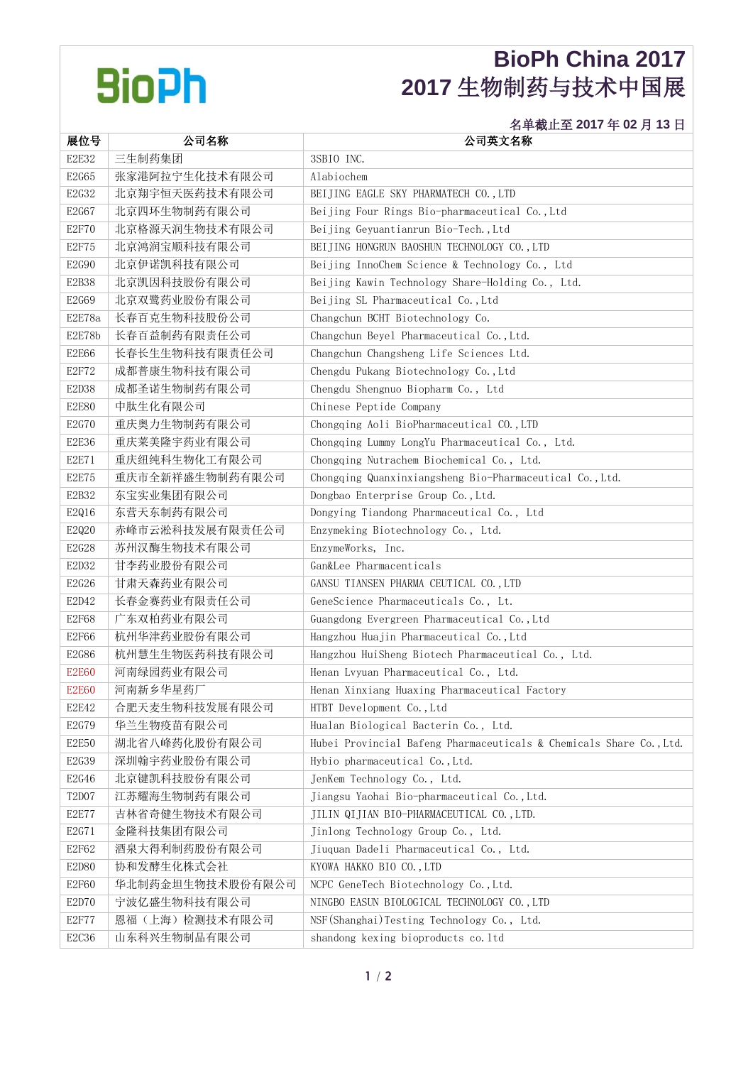## **BioPh**

## **BioPh China 2017 2017** 生物制药与技术中国展

## 名单截止至 **2017** 年 **02** 月 **13** 日

| 展位号          | 公司名称             | 公司英文名称                                                              |
|--------------|------------------|---------------------------------------------------------------------|
| E2E32        | 三生制药集团           | 3SBIO INC.                                                          |
| E2G65        | 张家港阿拉宁生化技术有限公司   | Alabiochem                                                          |
| E2G32        | 北京翔宇恒天医药技术有限公司   | BEIJING EAGLE SKY PHARMATECH CO., LTD                               |
| E2G67        | 北京四环生物制药有限公司     | Beijing Four Rings Bio-pharmaceutical Co., Ltd                      |
| <b>E2F70</b> | 北京格源天润生物技术有限公司   | Beijing Geyuantianrun Bio-Tech., Ltd                                |
| E2F75        | 北京鸿润宝顺科技有限公司     | BEIJING HONGRUN BAOSHUN TECHNOLOGY CO., LTD                         |
| E2G90        | 北京伊诺凯科技有限公司      | Beijing InnoChem Science & Technology Co., Ltd                      |
| E2B38        | 北京凯因科技股份有限公司     | Beijing Kawin Technology Share-Holding Co., Ltd.                    |
| E2G69        | 北京双鹭药业股份有限公司     | Beijing SL Pharmaceutical Co., Ltd                                  |
| E2E78a       | 长春百克生物科技股份公司     | Changchun BCHT Biotechnology Co.                                    |
| E2E78b       | 长春百益制药有限责任公司     | Changchun Beyel Pharmaceutical Co., Ltd.                            |
| E2E66        | 长春长生生物科技有限责任公司   | Changchun Changsheng Life Sciences Ltd.                             |
| E2F72        | 成都普康生物科技有限公司     | Chengdu Pukang Biotechnology Co., Ltd                               |
| E2D38        | 成都圣诺生物制药有限公司     | Chengdu Shengnuo Biopharm Co., Ltd                                  |
| <b>E2E80</b> | 中肽生化有限公司         | Chinese Peptide Company                                             |
| E2G70        | 重庆奥力生物制药有限公司     | Chongqing Aoli BioPharmaceutical CO., LTD                           |
| E2E36        | 重庆莱美隆宇药业有限公司     | Chongqing Lummy LongYu Pharmaceutical Co., Ltd.                     |
| E2E71        | 重庆纽纯科生物化工有限公司    | Chongqing Nutrachem Biochemical Co., Ltd.                           |
| E2E75        | 重庆市全新祥盛生物制药有限公司  | Chongqing Quanxinxiangsheng Bio-Pharmaceutical Co., Ltd.            |
| E2B32        | 东宝实业集团有限公司       | Dongbao Enterprise Group Co., Ltd.                                  |
| E2Q16        | 东营天东制药有限公司       | Dongying Tiandong Pharmaceutical Co., Ltd                           |
| E2Q20        | 赤峰市云淞科技发展有限责任公司  | Enzymeking Biotechnology Co., Ltd.                                  |
| E2G28        | 苏州汉酶生物技术有限公司     | EnzymeWorks, Inc.                                                   |
| E2D32        | 甘李药业股份有限公司       | Gan&Lee Pharmacenticals                                             |
| E2G26        | 甘肃天森药业有限公司       | GANSU TIANSEN PHARMA CEUTICAL CO., LTD                              |
| E2D42        | 长春金赛药业有限责任公司     | GeneScience Pharmaceuticals Co., Lt.                                |
| E2F68        | 广东双柏药业有限公司       | Guangdong Evergreen Pharmaceutical Co., Ltd                         |
| E2F66        | 杭州华津药业股份有限公司     | Hangzhou Huajin Pharmaceutical Co., Ltd                             |
| E2G86        | 杭州慧生生物医药科技有限公司   | Hangzhou HuiSheng Biotech Pharmaceutical Co., Ltd.                  |
| <b>E2E60</b> | 河南绿园药业有限公司       | Henan Lvyuan Pharmaceutical Co., Ltd.                               |
| <b>E2E60</b> | 河南新乡华星药厂         | Henan Xinxiang Huaxing Pharmaceutical Factory                       |
| E2E42        | 合肥天麦生物科技发展有限公司   | HTBT Development Co., Ltd                                           |
| E2G79        | 华兰生物疫苗有限公司       | Hualan Biological Bacterin Co., Ltd.                                |
| <b>E2E50</b> | 湖北省八峰药化股份有限公司    | Hubei Provincial Bafeng Pharmaceuticals & Chemicals Share Co., Ltd. |
| E2G39        | 深圳翰宇药业股份有限公司     | Hybio pharmaceutical Co., Ltd.                                      |
| E2G46        | 北京键凯科技股份有限公司     | JenKem Technology Co., Ltd.                                         |
| T2D07        | 江苏耀海生物制药有限公司     | Jiangsu Yaohai Bio-pharmaceutical Co., Ltd.                         |
| <b>E2E77</b> | 吉林省奇健生物技术有限公司    | JILIN QIJIAN BIO-PHARMACEUTICAL CO., LTD.                           |
| E2G71        | 金隆科技集团有限公司       | Jinlong Technology Group Co., Ltd.                                  |
| E2F62        | 酒泉大得利制药股份有限公司    | Jiuquan Dadeli Pharmaceutical Co., Ltd.                             |
| E2D80        | 协和发酵生化株式会社       | KYOWA HAKKO BIO CO., LTD                                            |
| E2F60        | 华北制药金坦生物技术股份有限公司 | NCPC GeneTech Biotechnology Co., Ltd.                               |
| E2D70        | 宁波亿盛生物科技有限公司     | NINGBO EASUN BIOLOGICAL TECHNOLOGY CO., LTD                         |
| E2F77        | 恩福(上海)检测技术有限公司   | NSF (Shanghai) Testing Technology Co., Ltd.                         |
| E2C36        | 山东科兴生物制品有限公司     | shandong kexing bioproducts co. ltd                                 |